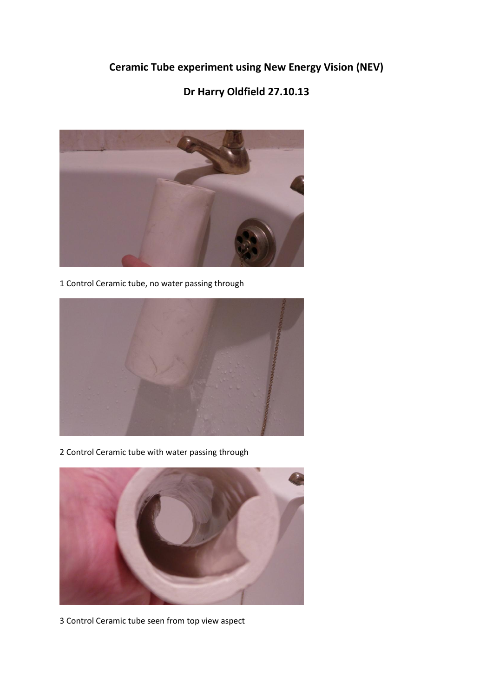**Ceramic Tube experiment using New Energy Vision (NEV)**

## **Dr Harry Oldfield 27.10.13**



1 Control Ceramic tube, no water passing through



2 Control Ceramic tube with water passing through



3 Control Ceramic tube seen from top view aspect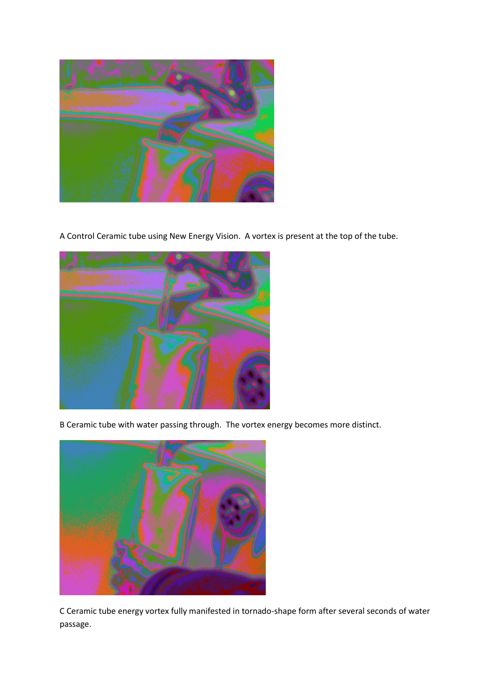A Control Ceramic tube using New Energy Vision. A vortex is present at the top of the tube.



B Ceramic tube with water passing through. The vortex energy becomes more distinct.



C Ceramic tube energy vortex fully manifested in tornado-shape form after several seconds of water passage.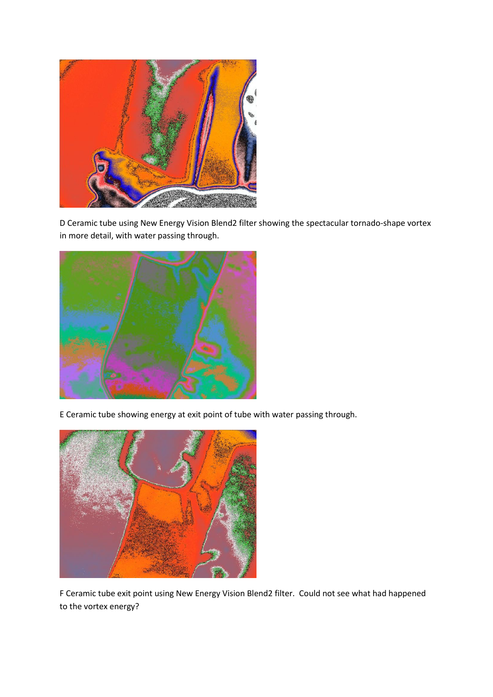

D Ceramic tube using New Energy Vision Blend2 filter showing the spectacular tornado-shape vortex in more detail, with water passing through.



E Ceramic tube showing energy at exit point of tube with water passing through.



F Ceramic tube exit point using New Energy Vision Blend2 filter. Could not see what had happened to the vortex energy?